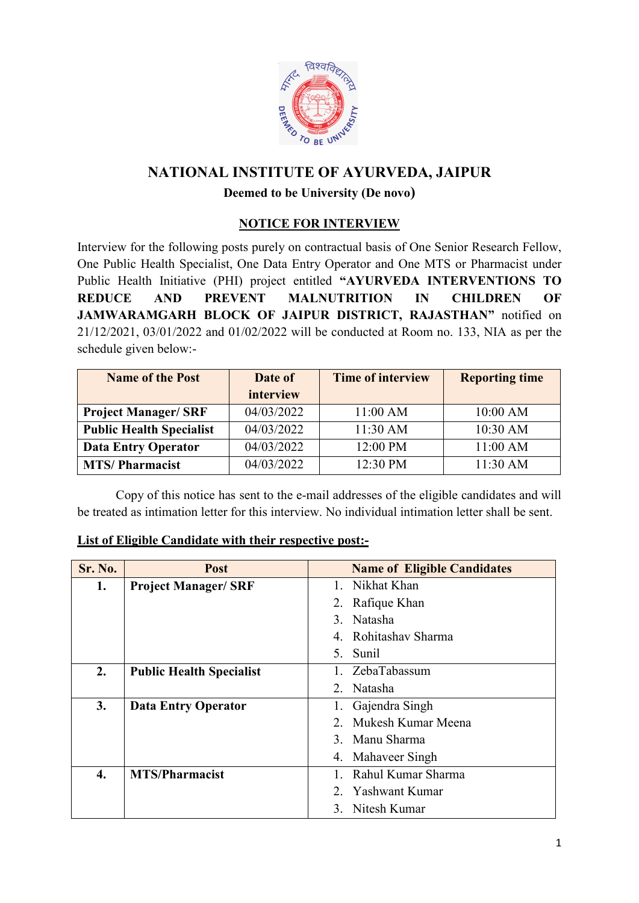

# **NATIONAL INSTITUTE OF AYURVEDA, JAIPUR**

### **Deemed to be University (De novo)**

### **NOTICE FOR INTERVIEW**

Interview for the following posts purely on contractual basis of One Senior Research Fellow, One Public Health Specialist, One Data Entry Operator and One MTS or Pharmacist under Public Health Initiative (PHI) project entitled **"AYURVEDA INTERVENTIONS TO REDUCE AND PREVENT MALNUTRITION IN CHILDREN OF JAMWARAMGARH BLOCK OF JAIPUR DISTRICT, RAJASTHAN"** notified on 21/12/2021, 03/01/2022 and 01/02/2022 will be conducted at Room no. 133, NIA as per the schedule given below:-

| <b>Name of the Post</b>         | Date of    | <b>Time of interview</b> | <b>Reporting time</b> |
|---------------------------------|------------|--------------------------|-----------------------|
|                                 | interview  |                          |                       |
| <b>Project Manager/SRF</b>      | 04/03/2022 | 11:00 AM                 | 10:00 AM              |
| <b>Public Health Specialist</b> | 04/03/2022 | 11:30 AM                 | 10:30 AM              |
| <b>Data Entry Operator</b>      | 04/03/2022 | 12:00 PM                 | 11:00 AM              |
| <b>MTS/Pharmacist</b>           | 04/03/2022 | 12:30 PM                 | 11:30 AM              |

Copy of this notice has sent to the e-mail addresses of the eligible candidates and will be treated as intimation letter for this interview. No individual intimation letter shall be sent.

| <b>Sr. No.</b> | <b>Post</b>                     | <b>Name of Eligible Candidates</b> |  |
|----------------|---------------------------------|------------------------------------|--|
| 1.             | <b>Project Manager/ SRF</b>     | Nikhat Khan                        |  |
|                |                                 | 2. Rafique Khan                    |  |
|                |                                 | 3. Natasha                         |  |
|                |                                 | Rohitashav Sharma<br>4             |  |
|                |                                 | Sunil<br>5                         |  |
| 2.             | <b>Public Health Specialist</b> | ZebaTabassum                       |  |
|                |                                 | Natasha<br>2                       |  |
| 3.             | <b>Data Entry Operator</b>      | Gajendra Singh                     |  |
|                |                                 | Mukesh Kumar Meena                 |  |
|                |                                 | 3. Manu Sharma                     |  |
|                |                                 | Mahaveer Singh<br>4.               |  |
| 4.             | <b>MTS/Pharmacist</b>           | Rahul Kumar Sharma                 |  |
|                |                                 | 2. Yashwant Kumar                  |  |
|                |                                 | 3. Nitesh Kumar                    |  |

# **List of Eligible Candidate with their respective post:-**